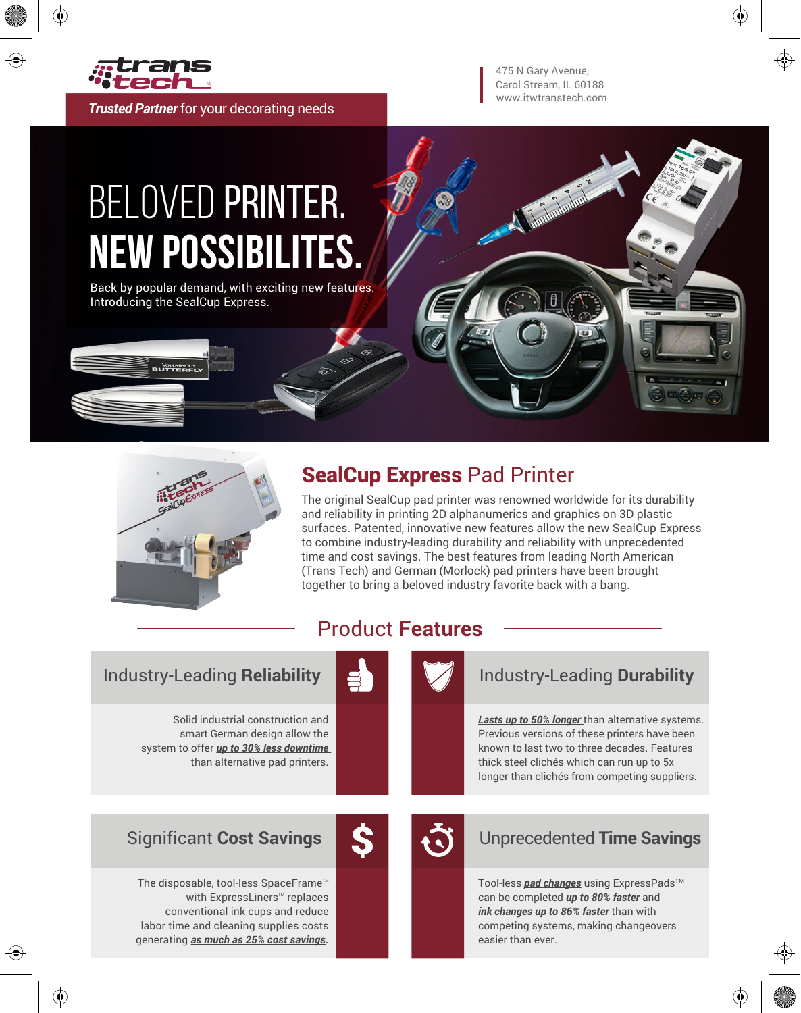

*Trusted Partner* for your decorating needs

www.itwtranstech.com Carol Stream, IL 60188 475 N Gary Avenue,

Tumbulunlu

# BELOVED PRINTER. **New Possibilites.**

Back by popular demand, with exciting new features. Introducing the SealCup Express.



**BUTTERFLY** 

### SealCup Express Pad Printer

The original SealCup pad printer was renowned worldwide for its durability and reliability in printing 2D alphanumerics and graphics on 3D plastic surfaces. Patented, innovative new features allow the new SealCup Express to combine industry-leading durability and reliability with unprecedented time and cost savings. The best features from leading North American (Trans Tech) and German (Morlock) pad printers have been brought together to bring a beloved industry favorite back with a bang.

#### Industry-Leading **Reliability** Industry-Leading **Durability**

Solid industrial construction and smart German design allow the system to offer *up to 30% less downtime*  than alternative pad printers.



Product **Features**

*Lasts up to 50% longer* than alternative systems. Previous versions of these printers have been known to last two to three decades. Features thick steel clichés which can run up to 5x longer than clichés from competing suppliers.



#### Significant **Cost Savings** Unprecedented **Time Savings**

Tool-less *pad changes* using ExpressPads<sup>™</sup> can be completed *up to 80% faster* and *ink changes up to 86% faster* than with competing systems, making changeovers easier than ever.

The disposable, tool-less SpaceFrame<sup>™</sup> with ExpressLiners™ replaces conventional ink cups and reduce labor time and cleaning supplies costs generating *as much as 25% cost savings.*